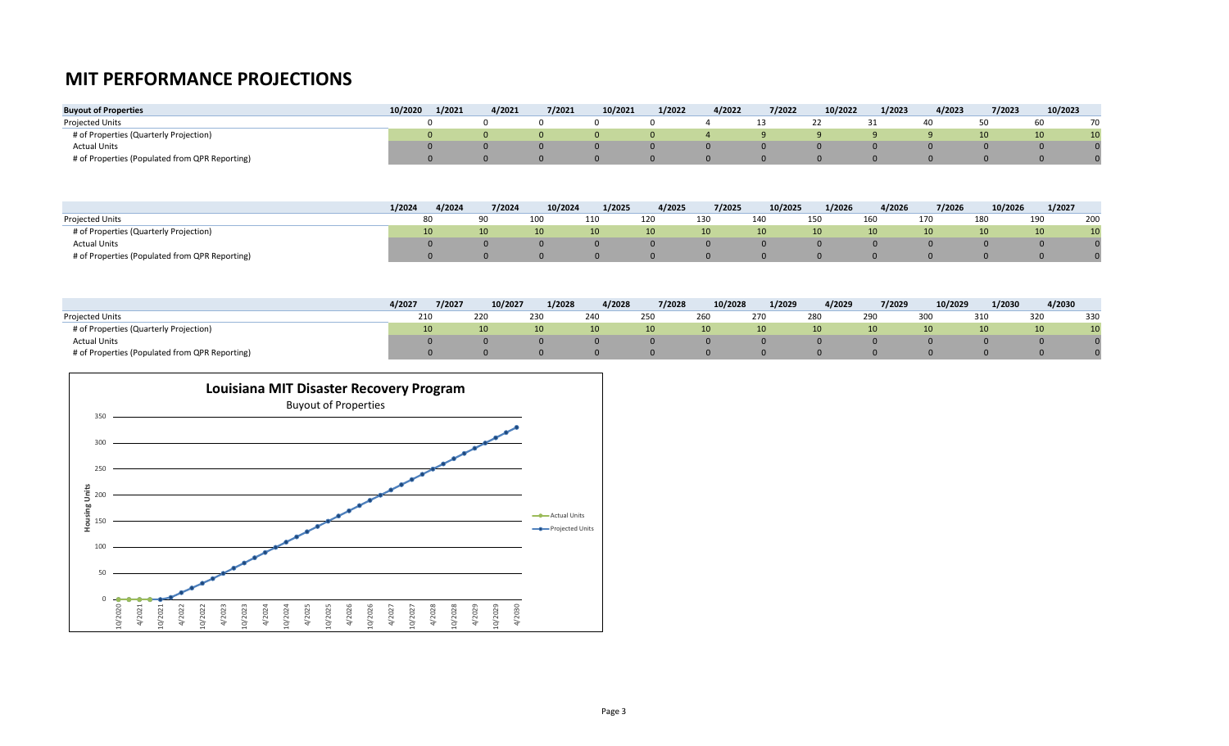## **MIT PERFORMANCE PROJECTIONS**

| <b>Buyout of Properties</b>                    | 10/2020 | 1/2021 | 4/2021 | 7/2021 | 10/2021 | 1/2022 | 4/2022 | 7/2022 | 10/2022 | 1/2023 | 4/2023 | 7/2023 | 10/2023         |    |
|------------------------------------------------|---------|--------|--------|--------|---------|--------|--------|--------|---------|--------|--------|--------|-----------------|----|
| <b>Projected Units</b>                         |         |        |        |        |         |        |        |        |         |        |        |        | 60              | 70 |
| # of Properties (Quarterly Projection)         |         |        |        |        |         |        |        |        |         |        |        |        | 10 <sup>1</sup> | 10 |
| <b>Actual Units</b>                            |         |        |        |        |         |        |        |        |         |        |        |        |                 |    |
| # of Properties (Populated from QPR Reporting) |         |        |        |        |         |        |        |        |         |        |        |        |                 |    |

|                                                | 1/2024 | 4/2024 | 7/2024          | 10/2024         | 1/2025          | 4/2025          | 7/2025          | 10/2025 | 1/2026          | 4/2026          | 7/2026          | 10/2026         | 1/2027                |
|------------------------------------------------|--------|--------|-----------------|-----------------|-----------------|-----------------|-----------------|---------|-----------------|-----------------|-----------------|-----------------|-----------------------|
| Projected Units                                |        | 80     |                 |                 | 110             | 120             | 130             | 140     | 15 <sup>c</sup> | 160             | 170             | 180             | 200<br>190            |
| # of Properties (Quarterly Projection)         |        | 10     | 10 <sup>1</sup> | 10 <sup>°</sup> | 10 <sup>1</sup> | 10 <sup>1</sup> | 10 <sup>1</sup> | 10      | 10.             | 10 <sup>1</sup> | 10 <sup>1</sup> | 10 <sup>1</sup> | 10<br>10 <sup>°</sup> |
| <b>Actual Units</b>                            |        |        |                 |                 |                 |                 |                 |         |                 |                 |                 |                 |                       |
| # of Properties (Populated from QPR Reporting) |        |        |                 |                 |                 |                 |                 |         |                 |                 |                 |                 |                       |

|                                                | 4/2027 | 7/2027 | 10/2027 | 1/2028 | 4/2028          | 7/2028          | 10/2028         | 1/2029          | 4/2029     | 7/2029          | 10/2029         | 1/2030 | 4/2030 |     |
|------------------------------------------------|--------|--------|---------|--------|-----------------|-----------------|-----------------|-----------------|------------|-----------------|-----------------|--------|--------|-----|
| <b>Projected Units</b>                         | 210    |        | 22C     | 230    | 240             | 250             | 260             | 270             | <b>280</b> | 290             | 300             | 310    | 320    | 330 |
| # of Properties (Quarterly Projection)         |        |        |         | 10     | 10 <sup>1</sup> | 10 <sup>1</sup> | 10 <sup>°</sup> | 10 <sup>°</sup> | 10         | 10 <sup>°</sup> | 10 <sup>1</sup> |        |        |     |
| <b>Actual Units</b>                            |        |        |         |        |                 |                 |                 |                 |            |                 |                 |        |        |     |
| # of Properties (Populated from QPR Reporting) |        |        |         |        |                 |                 |                 |                 |            |                 |                 |        |        |     |

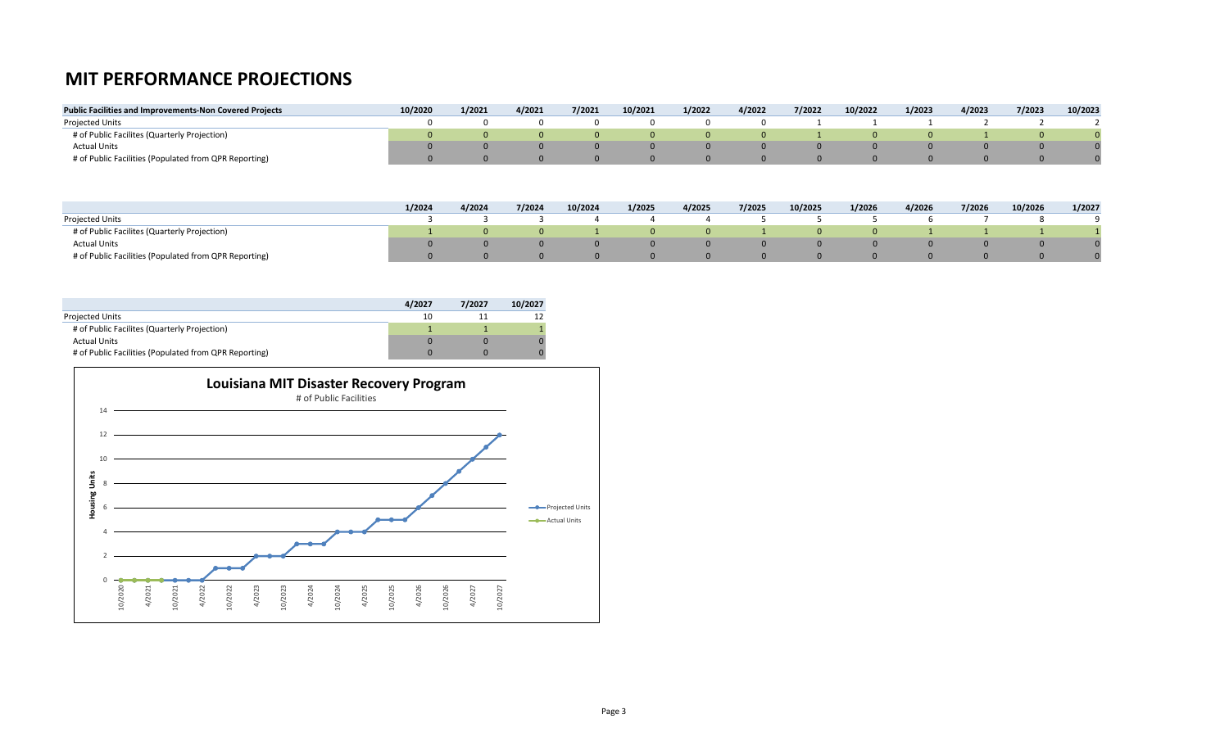## **MIT PERFORMANCE PROJECTIONS**

| <b>Public Facilities and Improvements-Non Covered Projects</b> | 10/2020 | 1/2021 | 4/2021 | 7/2021 | 10/2021 | 1/2022 | 4/2022 | 7/2022 | 10/2022 | 1/2023 | 4/2023 | 7/2023 | 10/2023 |
|----------------------------------------------------------------|---------|--------|--------|--------|---------|--------|--------|--------|---------|--------|--------|--------|---------|
| <b>Projected Units</b>                                         |         |        |        |        |         |        |        |        |         |        |        |        |         |
| # of Public Facilites (Quarterly Projection)                   |         |        |        |        |         |        |        |        |         |        |        |        |         |
| <b>Actual Units</b>                                            |         |        |        |        |         |        |        |        |         |        |        |        |         |
| # of Public Facilities (Populated from QPR Reporting)          |         |        |        |        |         |        |        |        |         |        |        |        |         |

|                                                       | 1/2024 | 4/2024 | 7/2024 | 10/2024 | 1/2025 | 4/2025 | 7/2025 | 10/2025 | 1/2026 | 4/2026 | 7/2026 | 10/2026 | 1/2027 |
|-------------------------------------------------------|--------|--------|--------|---------|--------|--------|--------|---------|--------|--------|--------|---------|--------|
| <b>Projected Units</b>                                |        |        |        |         |        |        |        |         |        |        |        |         |        |
| # of Public Facilites (Quarterly Projection)          |        |        |        |         |        |        |        |         |        |        |        |         |        |
| <b>Actual Units</b>                                   |        |        |        |         |        |        |        |         |        |        |        |         |        |
| # of Public Facilities (Populated from QPR Reporting) |        |        |        |         |        |        |        |         |        |        |        |         |        |

|                                                       | 4/2027 | 7/2027 | 10/2027 |
|-------------------------------------------------------|--------|--------|---------|
| <b>Projected Units</b>                                | 10     |        |         |
| # of Public Facilites (Quarterly Projection)          |        |        |         |
| <b>Actual Units</b>                                   |        |        |         |
| # of Public Facilities (Populated from QPR Reporting) |        |        |         |